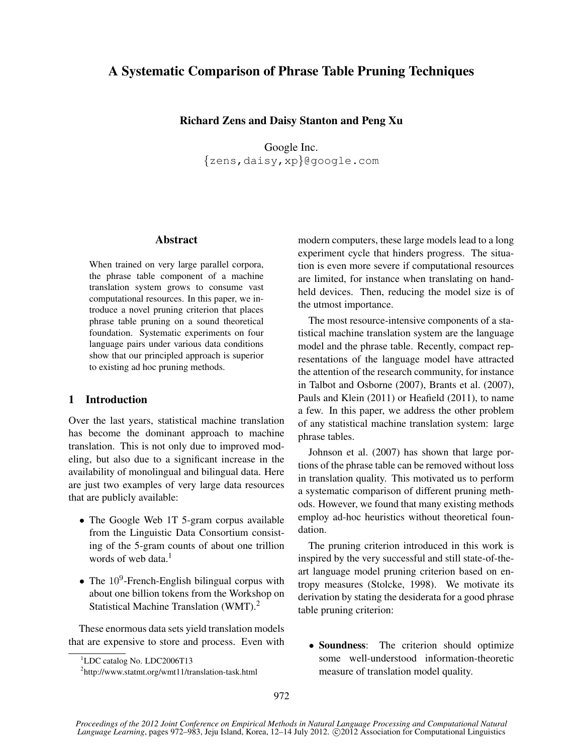# A Systematic Comparison of Phrase Table Pruning Techniques

## Richard Zens and Daisy Stanton and Peng Xu

Google Inc. {zens,daisy,xp}@google.com

## Abstract

When trained on very large parallel corpora, the phrase table component of a machine translation system grows to consume vast computational resources. In this paper, we introduce a novel pruning criterion that places phrase table pruning on a sound theoretical foundation. Systematic experiments on four language pairs under various data conditions show that our principled approach is superior to existing ad hoc pruning methods.

## 1 Introduction

Over the last years, statistical machine translation has become the dominant approach to machine translation. This is not only due to improved modeling, but also due to a significant increase in the availability of monolingual and bilingual data. Here are just two examples of very large data resources that are publicly available:

- The Google Web 1T 5-gram corpus available from the Linguistic Data Consortium consisting of the 5-gram counts of about one trillion words of web data. $<sup>1</sup>$ </sup>
- The  $10^9$ -French-English bilingual corpus with about one billion tokens from the Workshop on Statistical Machine Translation (WMT).<sup>2</sup>

These enormous data sets yield translation models that are expensive to store and process. Even with modern computers, these large models lead to a long experiment cycle that hinders progress. The situation is even more severe if computational resources are limited, for instance when translating on handheld devices. Then, reducing the model size is of the utmost importance.

The most resource-intensive components of a statistical machine translation system are the language model and the phrase table. Recently, compact representations of the language model have attracted the attention of the research community, for instance in Talbot and Osborne (2007), Brants et al. (2007), Pauls and Klein (2011) or Heafield (2011), to name a few. In this paper, we address the other problem of any statistical machine translation system: large phrase tables.

Johnson et al. (2007) has shown that large portions of the phrase table can be removed without loss in translation quality. This motivated us to perform a systematic comparison of different pruning methods. However, we found that many existing methods employ ad-hoc heuristics without theoretical foundation.

The pruning criterion introduced in this work is inspired by the very successful and still state-of-theart language model pruning criterion based on entropy measures (Stolcke, 1998). We motivate its derivation by stating the desiderata for a good phrase table pruning criterion:

• Soundness: The criterion should optimize some well-understood information-theoretic measure of translation model quality.

<sup>&</sup>lt;sup>1</sup>LDC catalog No. LDC2006T13

<sup>2</sup> http://www.statmt.org/wmt11/translation-task.html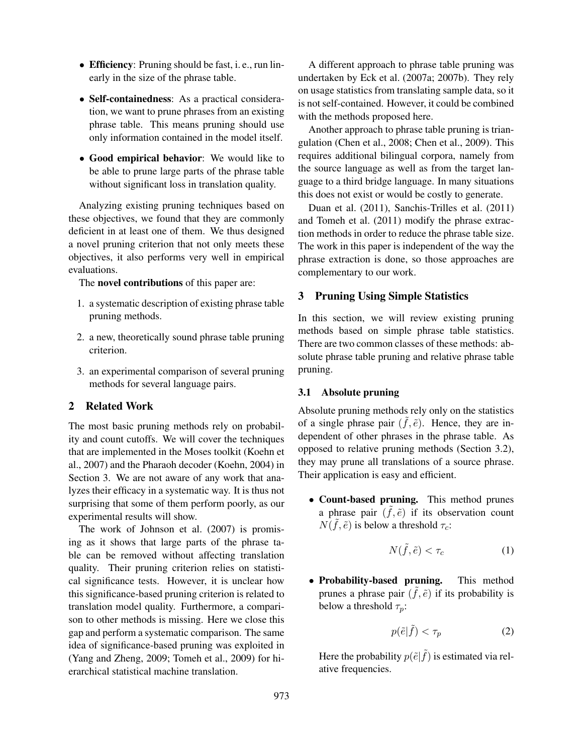- Efficiency: Pruning should be fast, i. e., run linearly in the size of the phrase table.
- Self-containedness: As a practical consideration, we want to prune phrases from an existing phrase table. This means pruning should use only information contained in the model itself.
- Good empirical behavior: We would like to be able to prune large parts of the phrase table without significant loss in translation quality.

Analyzing existing pruning techniques based on these objectives, we found that they are commonly deficient in at least one of them. We thus designed a novel pruning criterion that not only meets these objectives, it also performs very well in empirical evaluations.

The novel contributions of this paper are:

- 1. a systematic description of existing phrase table pruning methods.
- 2. a new, theoretically sound phrase table pruning criterion.
- 3. an experimental comparison of several pruning methods for several language pairs.

## 2 Related Work

The most basic pruning methods rely on probability and count cutoffs. We will cover the techniques that are implemented in the Moses toolkit (Koehn et al., 2007) and the Pharaoh decoder (Koehn, 2004) in Section 3. We are not aware of any work that analyzes their efficacy in a systematic way. It is thus not surprising that some of them perform poorly, as our experimental results will show.

The work of Johnson et al. (2007) is promising as it shows that large parts of the phrase table can be removed without affecting translation quality. Their pruning criterion relies on statistical significance tests. However, it is unclear how this significance-based pruning criterion is related to translation model quality. Furthermore, a comparison to other methods is missing. Here we close this gap and perform a systematic comparison. The same idea of significance-based pruning was exploited in (Yang and Zheng, 2009; Tomeh et al., 2009) for hierarchical statistical machine translation.

A different approach to phrase table pruning was undertaken by Eck et al. (2007a; 2007b). They rely on usage statistics from translating sample data, so it is not self-contained. However, it could be combined with the methods proposed here.

Another approach to phrase table pruning is triangulation (Chen et al., 2008; Chen et al., 2009). This requires additional bilingual corpora, namely from the source language as well as from the target language to a third bridge language. In many situations this does not exist or would be costly to generate.

Duan et al. (2011), Sanchis-Trilles et al. (2011) and Tomeh et al. (2011) modify the phrase extraction methods in order to reduce the phrase table size. The work in this paper is independent of the way the phrase extraction is done, so those approaches are complementary to our work.

## 3 Pruning Using Simple Statistics

In this section, we will review existing pruning methods based on simple phrase table statistics. There are two common classes of these methods: absolute phrase table pruning and relative phrase table pruning.

### 3.1 Absolute pruning

Absolute pruning methods rely only on the statistics of a single phrase pair  $(\tilde{f}, \tilde{e})$ . Hence, they are independent of other phrases in the phrase table. As opposed to relative pruning methods (Section 3.2), they may prune all translations of a source phrase. Their application is easy and efficient.

• Count-based pruning. This method prunes a phrase pair  $(\tilde{f}, \tilde{e})$  if its observation count  $N(\tilde{f}, \tilde{e})$  is below a threshold  $\tau_c$ :

$$
N(\tilde{f}, \tilde{e}) < \tau_c \tag{1}
$$

• Probability-based pruning. This method prunes a phrase pair  $(\tilde{f}, \tilde{e})$  if its probability is below a threshold  $\tau_p$ :

$$
p(\tilde{e}|\tilde{f}) < \tau_p \tag{2}
$$

Here the probability  $p(\tilde{e}|\tilde{f})$  is estimated via relative frequencies.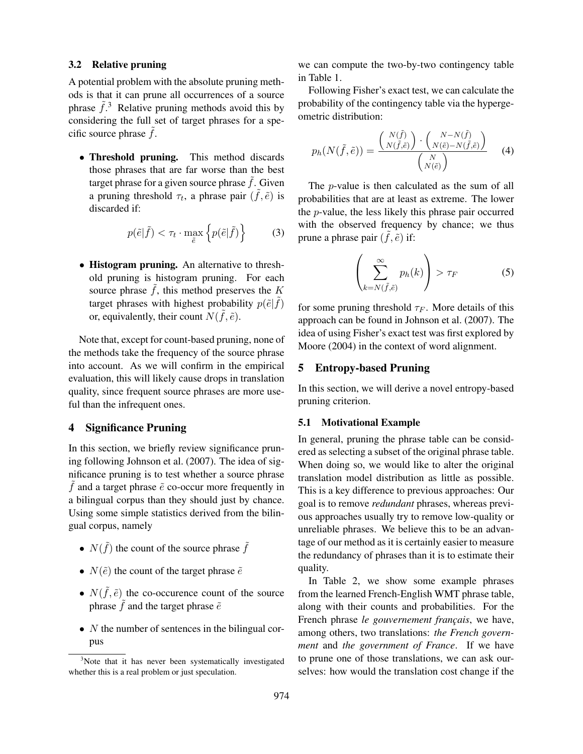#### 3.2 Relative pruning

A potential problem with the absolute pruning methods is that it can prune all occurrences of a source phrase  $\tilde{f}$ .<sup>3</sup> Relative pruning methods avoid this by considering the full set of target phrases for a specific source phrase  $f$ .

• Threshold pruning. This method discards those phrases that are far worse than the best target phrase for a given source phrase  $\tilde{f}$ . Given a pruning threshold  $\tau_t$ , a phrase pair  $(\tilde{f}, \tilde{e})$  is discarded if:

$$
p(\tilde{e}|\tilde{f}) < \tau_t \cdot \max_{\tilde{e}} \left\{ p(\tilde{e}|\tilde{f}) \right\} \tag{3}
$$

• Histogram pruning. An alternative to threshold pruning is histogram pruning. For each source phrase  $\hat{f}$ , this method preserves the K target phrases with highest probability  $p(\tilde{e}|\tilde{f})$ or, equivalently, their count  $N(\tilde{f}, \tilde{e})$ .

Note that, except for count-based pruning, none of the methods take the frequency of the source phrase into account. As we will confirm in the empirical evaluation, this will likely cause drops in translation quality, since frequent source phrases are more useful than the infrequent ones.

### 4 Significance Pruning

In this section, we briefly review significance pruning following Johnson et al. (2007). The idea of significance pruning is to test whether a source phrase  $\tilde{f}$  and a target phrase  $\tilde{e}$  co-occur more frequently in a bilingual corpus than they should just by chance. Using some simple statistics derived from the bilingual corpus, namely

- $N(\tilde{f})$  the count of the source phrase  $\tilde{f}$
- $N(\tilde{e})$  the count of the target phrase  $\tilde{e}$
- $N(\tilde{f}, \tilde{e})$  the co-occurence count of the source phrase  $\tilde{f}$  and the target phrase  $\tilde{e}$
- $N$  the number of sentences in the bilingual corpus

we can compute the two-by-two contingency table in Table 1.

Following Fisher's exact test, we can calculate the probability of the contingency table via the hypergeometric distribution:

$$
p_h(N(\tilde{f}, \tilde{e})) = \frac{\binom{N(\tilde{f})}{N(\tilde{f}, \tilde{e})} \cdot \binom{N - N(\tilde{f})}{N(\tilde{e}) - N(\tilde{f}, \tilde{e})}}{\binom{N}{N(\tilde{e})}} \qquad (4)
$$

The p-value is then calculated as the sum of all probabilities that are at least as extreme. The lower the p-value, the less likely this phrase pair occurred with the observed frequency by chance; we thus prune a phrase pair  $(\tilde{f}, \tilde{e})$  if:

$$
\left(\sum_{k=N(\tilde{f},\tilde{e})}^{\infty} p_h(k)\right) > \tau_F
$$
\n(5)

for some pruning threshold  $\tau_F$ . More details of this approach can be found in Johnson et al. (2007). The idea of using Fisher's exact test was first explored by Moore (2004) in the context of word alignment.

### 5 Entropy-based Pruning

In this section, we will derive a novel entropy-based pruning criterion.

#### 5.1 Motivational Example

In general, pruning the phrase table can be considered as selecting a subset of the original phrase table. When doing so, we would like to alter the original translation model distribution as little as possible. This is a key difference to previous approaches: Our goal is to remove *redundant* phrases, whereas previous approaches usually try to remove low-quality or unreliable phrases. We believe this to be an advantage of our method as it is certainly easier to measure the redundancy of phrases than it is to estimate their quality.

In Table 2, we show some example phrases from the learned French-English WMT phrase table, along with their counts and probabilities. For the French phrase *le gouvernement français*, we have, among others, two translations: *the French government* and *the government of France*. If we have to prune one of those translations, we can ask ourselves: how would the translation cost change if the

<sup>&</sup>lt;sup>3</sup>Note that it has never been systematically investigated whether this is a real problem or just speculation.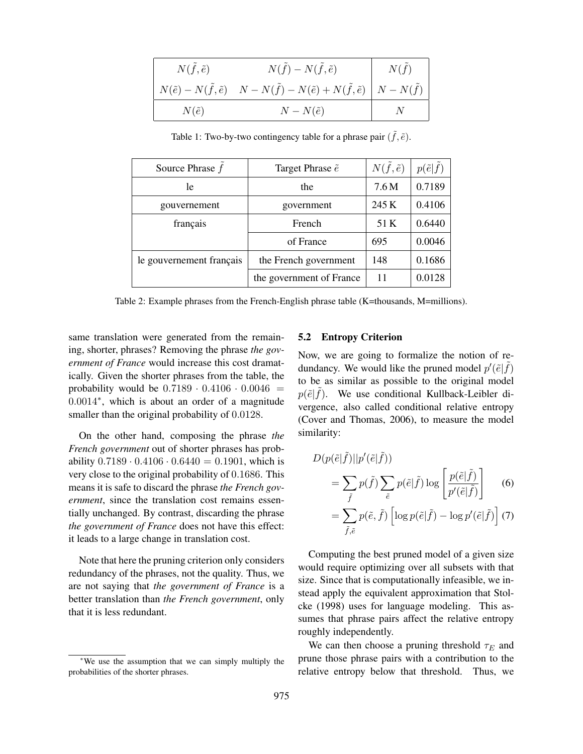| $N(\tilde{f}, \tilde{e})$ | $N(\tilde{f})-N(\tilde{f},\tilde{e})$                                                                                   | $N(\tilde{f})$ |
|---------------------------|-------------------------------------------------------------------------------------------------------------------------|----------------|
|                           | $N(\tilde{e}) - N(\tilde{f}, \tilde{e})$ $N - N(\tilde{f}) - N(\tilde{e}) + N(\tilde{f}, \tilde{e})$ $N - N(\tilde{f})$ |                |
| $N(\tilde{e})$            | $N-N(\tilde{e})$                                                                                                        |                |

Table 1: Two-by-two contingency table for a phrase pair  $(\tilde{f}, \tilde{e})$ .

| Source Phrase $f$        | Target Phrase $\tilde{e}$ | $N(\tilde{f}, \tilde{e})$ | $p(\tilde{e} \tilde{f})$ |
|--------------------------|---------------------------|---------------------------|--------------------------|
| le                       | the                       | 7.6M                      | 0.7189                   |
| gouvernement             | government                | 245 K                     | 0.4106                   |
| français                 | French                    | 51 K                      | 0.6440                   |
|                          | of France                 | 695                       | 0.0046                   |
| le gouvernement français | the French government     | 148                       | 0.1686                   |
|                          | the government of France  | 11                        | 0.0128                   |

Table 2: Example phrases from the French-English phrase table (K=thousands, M=millions).

same translation were generated from the remaining, shorter, phrases? Removing the phrase *the government of France* would increase this cost dramatically. Given the shorter phrases from the table, the probability would be  $0.7189 \cdot 0.4106 \cdot 0.0046$  = 0.0014<sup>∗</sup> , which is about an order of a magnitude smaller than the original probability of 0.0128.

On the other hand, composing the phrase *the French government* out of shorter phrases has probability  $0.7189 \cdot 0.4106 \cdot 0.6440 = 0.1901$ , which is very close to the original probability of 0.1686. This means it is safe to discard the phrase *the French government*, since the translation cost remains essentially unchanged. By contrast, discarding the phrase *the government of France* does not have this effect: it leads to a large change in translation cost.

Note that here the pruning criterion only considers redundancy of the phrases, not the quality. Thus, we are not saying that *the government of France* is a better translation than *the French government*, only that it is less redundant.

## 5.2 Entropy Criterion

Now, we are going to formalize the notion of redundancy. We would like the pruned model  $p'(\tilde{e}|\tilde{f})$ to be as similar as possible to the original model  $p(\tilde{e}|\tilde{f})$ . We use conditional Kullback-Leibler divergence, also called conditional relative entropy (Cover and Thomas, 2006), to measure the model similarity:

$$
D(p(\tilde{e}|\tilde{f})||p'(\tilde{e}|\tilde{f}))
$$
  
= 
$$
\sum_{\tilde{f}} p(\tilde{f}) \sum_{\tilde{e}} p(\tilde{e}|\tilde{f}) \log \left[ \frac{p(\tilde{e}|\tilde{f})}{p'(\tilde{e}|\tilde{f})} \right]
$$
 (6)  
= 
$$
\sum_{\tilde{f}, \tilde{e}} p(\tilde{e}, \tilde{f}) \left[ \log p(\tilde{e}|\tilde{f}) - \log p'(\tilde{e}|\tilde{f}) \right]
$$
 (7)

Computing the best pruned model of a given size would require optimizing over all subsets with that size. Since that is computationally infeasible, we instead apply the equivalent approximation that Stolcke (1998) uses for language modeling. This assumes that phrase pairs affect the relative entropy roughly independently.

We can then choose a pruning threshold  $\tau_E$  and prune those phrase pairs with a contribution to the relative entropy below that threshold. Thus, we

<sup>∗</sup>We use the assumption that we can simply multiply the probabilities of the shorter phrases.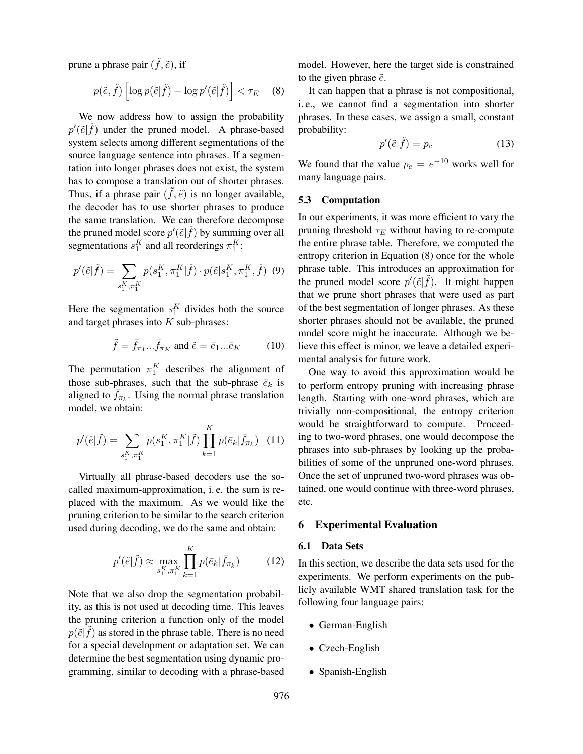prune a phrase pair  $(\tilde{f}, \tilde{e})$ , if

$$
p(\tilde{e}, \tilde{f}) \left[ \log p(\tilde{e} | \tilde{f}) - \log p'(\tilde{e} | \tilde{f}) \right] < \tau_E \quad (8)
$$

We now address how to assign the probability  $p'(\tilde{e}|\tilde{f})$  under the pruned model. A phrase-based system selects among different segmentations of the source language sentence into phrases. If a segmentation into longer phrases does not exist, the system has to compose a translation out of shorter phrases. Thus, if a phrase pair  $(\tilde{f}, \tilde{e})$  is no longer available, the decoder has to use shorter phrases to produce the same translation. We can therefore decompose the pruned model score  $p'(\tilde{e}|\tilde{f})$  by summing over all segmentations  $s_1^K$  and all reorderings  $\pi_1^K$ :

$$
p'(\tilde{e}|\tilde{f}) = \sum_{s_1^K, \pi_1^K} p(s_1^K, \pi_1^K | \tilde{f}) \cdot p(\tilde{e}|s_1^K, \pi_1^K, \tilde{f}) \tag{9}
$$

Here the segmentation  $s_1^K$  divides both the source and target phrases into  $K$  sub-phrases:

$$
\tilde{f} = \bar{f}_{\pi_1} \dots \bar{f}_{\pi_K} \text{ and } \tilde{e} = \bar{e}_1 \dots \bar{e}_K \tag{10}
$$

The permutation  $\pi_1^K$  describes the alignment of those sub-phrases, such that the sub-phrase  $\bar{e}_k$  is aligned to  $\bar{f}_{\pi_k}$ . Using the normal phrase translation model, we obtain:

$$
p'(\tilde{e}|\tilde{f}) = \sum_{s_1^K, \pi_1^K} p(s_1^K, \pi_1^K | \tilde{f}) \prod_{k=1}^K p(\bar{e}_k | \bar{f}_{\pi_k}) \quad (11)
$$

Virtually all phrase-based decoders use the socalled maximum-approximation, i. e. the sum is replaced with the maximum. As we would like the pruning criterion to be similar to the search criterion used during decoding, we do the same and obtain:

$$
p'(\tilde{e}|\tilde{f}) \approx \max_{s_1^K, \pi_1^K} \prod_{k=1}^K p(\bar{e}_k|\bar{f}_{\pi_k})
$$
 (12)

Note that we also drop the segmentation probability, as this is not used at decoding time. This leaves the pruning criterion a function only of the model  $p(\tilde{e}|\tilde{f})$  as stored in the phrase table. There is no need for a special development or adaptation set. We can determine the best segmentation using dynamic programming, similar to decoding with a phrase-based model. However, here the target side is constrained to the given phrase  $\tilde{e}$ .

It can happen that a phrase is not compositional, i. e., we cannot find a segmentation into shorter phrases. In these cases, we assign a small, constant probability:

$$
p'(\tilde{e}|\tilde{f}) = p_c \tag{13}
$$

We found that the value  $p_c = e^{-10}$  works well for many language pairs.

#### 5.3 Computation

In our experiments, it was more efficient to vary the pruning threshold  $\tau_E$  without having to re-compute the entire phrase table. Therefore, we computed the entropy criterion in Equation (8) once for the whole phrase table. This introduces an approximation for the pruned model score  $p'(\tilde{e}|\tilde{f})$ . It might happen that we prune short phrases that were used as part of the best segmentation of longer phrases. As these shorter phrases should not be available, the pruned model score might be inaccurate. Although we believe this effect is minor, we leave a detailed experimental analysis for future work.

One way to avoid this approximation would be to perform entropy pruning with increasing phrase length. Starting with one-word phrases, which are trivially non-compositional, the entropy criterion would be straightforward to compute. Proceeding to two-word phrases, one would decompose the phrases into sub-phrases by looking up the probabilities of some of the unpruned one-word phrases. Once the set of unpruned two-word phrases was obtained, one would continue with three-word phrases, etc.

#### 6 Experimental Evaluation

## 6.1 Data Sets

In this section, we describe the data sets used for the experiments. We perform experiments on the publicly available WMT shared translation task for the following four language pairs:

- German-English
- Czech-English
- Spanish-English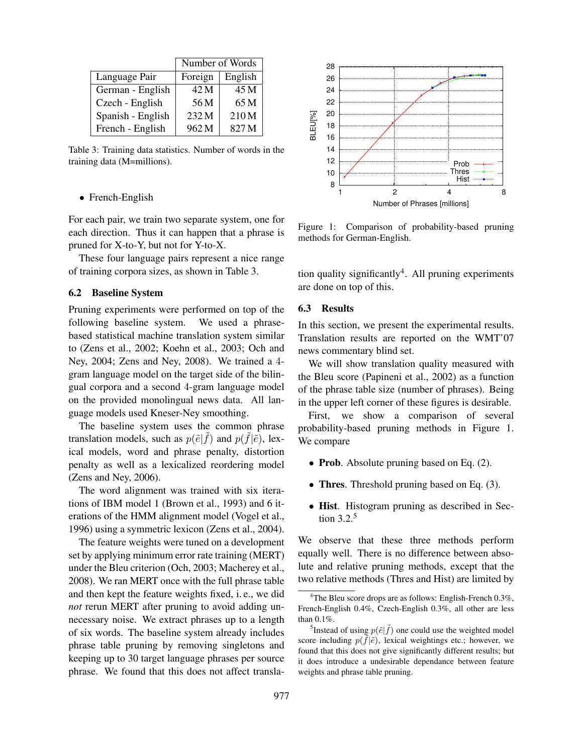|                   | Number of Words  |                  |  |
|-------------------|------------------|------------------|--|
| Language Pair     | Foreign          | English          |  |
| German - English  | 42 M             | 45 M             |  |
| Czech - English   | 56 M             | 65 M             |  |
| Spanish - English | 232 M            | 210M             |  |
| French - English  | 962 <sub>M</sub> | 827 <sub>M</sub> |  |

Table 3: Training data statistics. Number of words in the training data (M=millions).

#### • French-English

For each pair, we train two separate system, one for each direction. Thus it can happen that a phrase is pruned for X-to-Y, but not for Y-to-X.

These four language pairs represent a nice range of training corpora sizes, as shown in Table 3.

### 6.2 Baseline System

Pruning experiments were performed on top of the following baseline system. We used a phrasebased statistical machine translation system similar to (Zens et al., 2002; Koehn et al., 2003; Och and Ney, 2004; Zens and Ney, 2008). We trained a 4 gram language model on the target side of the bilingual corpora and a second 4-gram language model on the provided monolingual news data. All language models used Kneser-Ney smoothing.

The baseline system uses the common phrase translation models, such as  $p(\tilde{e}|\tilde{f})$  and  $p(\tilde{f}|\tilde{e})$ , lexical models, word and phrase penalty, distortion penalty as well as a lexicalized reordering model (Zens and Ney, 2006).

The word alignment was trained with six iterations of IBM model 1 (Brown et al., 1993) and 6 iterations of the HMM alignment model (Vogel et al., 1996) using a symmetric lexicon (Zens et al., 2004).

The feature weights were tuned on a development set by applying minimum error rate training (MERT) under the Bleu criterion (Och, 2003; Macherey et al., 2008). We ran MERT once with the full phrase table and then kept the feature weights fixed, i. e., we did *not* rerun MERT after pruning to avoid adding unnecessary noise. We extract phrases up to a length of six words. The baseline system already includes phrase table pruning by removing singletons and keeping up to 30 target language phrases per source phrase. We found that this does not affect transla-



Figure 1: Comparison of probability-based pruning methods for German-English.

tion quality significantly<sup>4</sup>. All pruning experiments are done on top of this.

#### 6.3 Results

In this section, we present the experimental results. Translation results are reported on the WMT'07 news commentary blind set.

We will show translation quality measured with the Bleu score (Papineni et al., 2002) as a function of the phrase table size (number of phrases). Being in the upper left corner of these figures is desirable.

First, we show a comparison of several probability-based pruning methods in Figure 1. We compare

- Prob. Absolute pruning based on Eq. (2).
- Thres. Threshold pruning based on Eq. (3).
- Hist. Histogram pruning as described in Section 3.2.<sup>5</sup>

We observe that these three methods perform equally well. There is no difference between absolute and relative pruning methods, except that the two relative methods (Thres and Hist) are limited by

<sup>&</sup>lt;sup>4</sup>The Bleu score drops are as follows: English-French  $0.3\%$ , French-English 0.4%, Czech-English 0.3%, all other are less than 0.1%.

<sup>&</sup>lt;sup>5</sup>Instead of using  $p(\tilde{e}|\tilde{f})$  one could use the weighted model score including  $p(\tilde{f}|\tilde{e})$ , lexical weightings etc.; however, we found that this does not give significantly different results; but it does introduce a undesirable dependance between feature weights and phrase table pruning.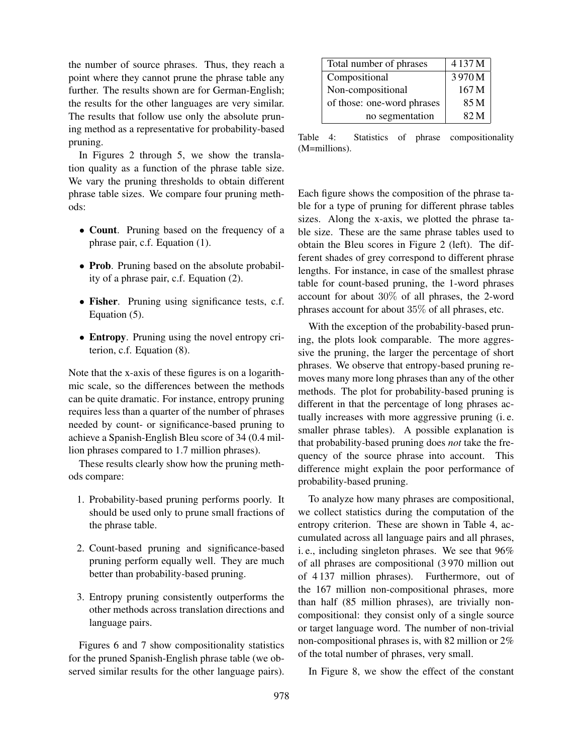the number of source phrases. Thus, they reach a point where they cannot prune the phrase table any further. The results shown are for German-English; the results for the other languages are very similar. The results that follow use only the absolute pruning method as a representative for probability-based pruning.

In Figures 2 through 5, we show the translation quality as a function of the phrase table size. We vary the pruning thresholds to obtain different phrase table sizes. We compare four pruning methods:

- Count. Pruning based on the frequency of a phrase pair, c.f. Equation (1).
- Prob. Pruning based on the absolute probability of a phrase pair, c.f. Equation (2).
- Fisher. Pruning using significance tests, c.f. Equation (5).
- Entropy. Pruning using the novel entropy criterion, c.f. Equation (8).

Note that the x-axis of these figures is on a logarithmic scale, so the differences between the methods can be quite dramatic. For instance, entropy pruning requires less than a quarter of the number of phrases needed by count- or significance-based pruning to achieve a Spanish-English Bleu score of 34 (0.4 million phrases compared to 1.7 million phrases).

These results clearly show how the pruning methods compare:

- 1. Probability-based pruning performs poorly. It should be used only to prune small fractions of the phrase table.
- 2. Count-based pruning and significance-based pruning perform equally well. They are much better than probability-based pruning.
- 3. Entropy pruning consistently outperforms the other methods across translation directions and language pairs.

Figures 6 and 7 show compositionality statistics for the pruned Spanish-English phrase table (we observed similar results for the other language pairs).

| Total number of phrases    | 4137M |
|----------------------------|-------|
| Compositional              | 3970M |
| Non-compositional          | 167 M |
| of those: one-word phrases | 85 M  |
| no segmentation            | 82M   |

Table 4: Statistics of phrase compositionality (M=millions).

Each figure shows the composition of the phrase table for a type of pruning for different phrase tables sizes. Along the x-axis, we plotted the phrase table size. These are the same phrase tables used to obtain the Bleu scores in Figure 2 (left). The different shades of grey correspond to different phrase lengths. For instance, in case of the smallest phrase table for count-based pruning, the 1-word phrases account for about 30% of all phrases, the 2-word phrases account for about 35% of all phrases, etc.

With the exception of the probability-based pruning, the plots look comparable. The more aggressive the pruning, the larger the percentage of short phrases. We observe that entropy-based pruning removes many more long phrases than any of the other methods. The plot for probability-based pruning is different in that the percentage of long phrases actually increases with more aggressive pruning (i. e. smaller phrase tables). A possible explanation is that probability-based pruning does *not* take the frequency of the source phrase into account. This difference might explain the poor performance of probability-based pruning.

To analyze how many phrases are compositional, we collect statistics during the computation of the entropy criterion. These are shown in Table 4, accumulated across all language pairs and all phrases, i. e., including singleton phrases. We see that 96% of all phrases are compositional (3 970 million out of 4 137 million phrases). Furthermore, out of the 167 million non-compositional phrases, more than half (85 million phrases), are trivially noncompositional: they consist only of a single source or target language word. The number of non-trivial non-compositional phrases is, with 82 million or 2% of the total number of phrases, very small.

In Figure 8, we show the effect of the constant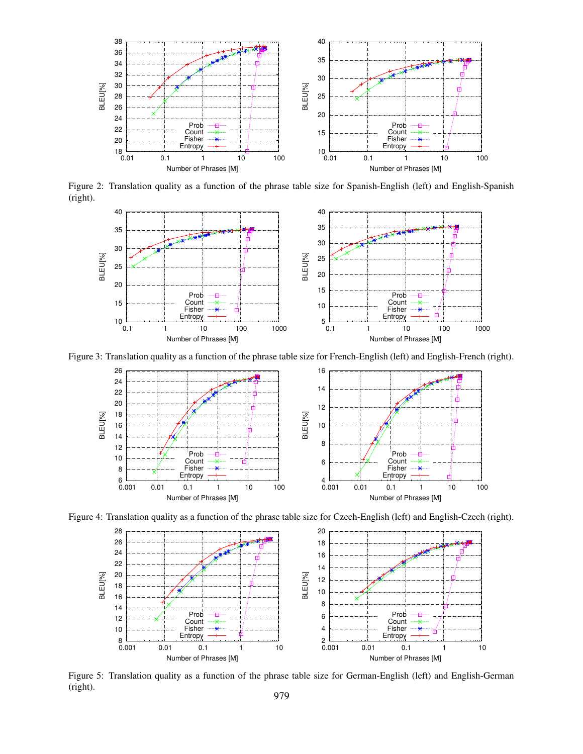

Figure 2: Translation quality as a function of the phrase table size for Spanish-English (left) and English-Spanish (right).



Figure 3: Translation quality as a function of the phrase table size for French-English (left) and English-French (right).



Figure 4: Translation quality as a function of the phrase table size for Czech-English (left) and English-Czech (right).



Figure 5: Translation quality as a function of the phrase table size for German-English (left) and English-German (right). 979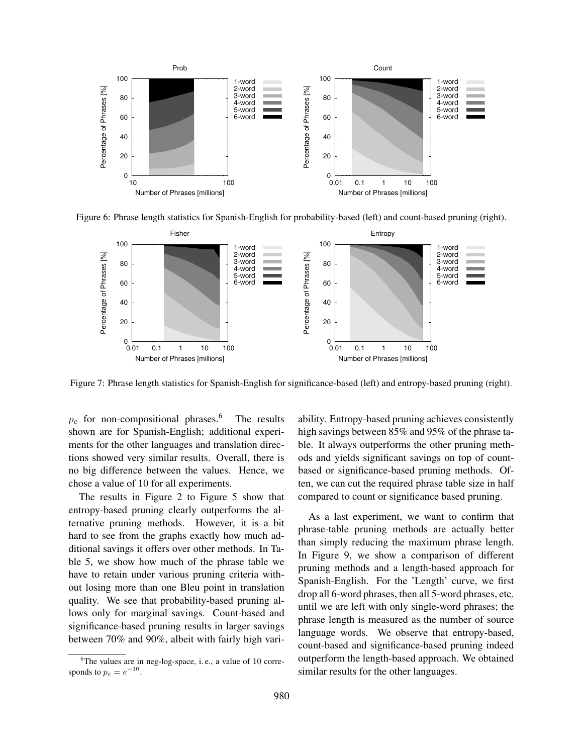

Figure 6: Phrase length statistics for Spanish-English for probability-based (left) and count-based pruning (right).



Figure 7: Phrase length statistics for Spanish-English for significance-based (left) and entropy-based pruning (right).

 $p_c$  for non-compositional phrases.<sup>6</sup> The results shown are for Spanish-English; additional experiments for the other languages and translation directions showed very similar results. Overall, there is no big difference between the values. Hence, we chose a value of 10 for all experiments.

The results in Figure 2 to Figure 5 show that entropy-based pruning clearly outperforms the alternative pruning methods. However, it is a bit hard to see from the graphs exactly how much additional savings it offers over other methods. In Table 5, we show how much of the phrase table we have to retain under various pruning criteria without losing more than one Bleu point in translation quality. We see that probability-based pruning allows only for marginal savings. Count-based and significance-based pruning results in larger savings between 70% and 90%, albeit with fairly high variability. Entropy-based pruning achieves consistently high savings between 85% and 95% of the phrase table. It always outperforms the other pruning methods and yields significant savings on top of countbased or significance-based pruning methods. Often, we can cut the required phrase table size in half compared to count or significance based pruning.

As a last experiment, we want to confirm that phrase-table pruning methods are actually better than simply reducing the maximum phrase length. In Figure 9, we show a comparison of different pruning methods and a length-based approach for Spanish-English. For the 'Length' curve, we first drop all 6-word phrases, then all 5-word phrases, etc. until we are left with only single-word phrases; the phrase length is measured as the number of source language words. We observe that entropy-based, count-based and significance-based pruning indeed outperform the length-based approach. We obtained similar results for the other languages.

 ${}^{6}$ The values are in neg-log-space, i.e., a value of 10 corresponds to  $p_c = e^{-10}$ .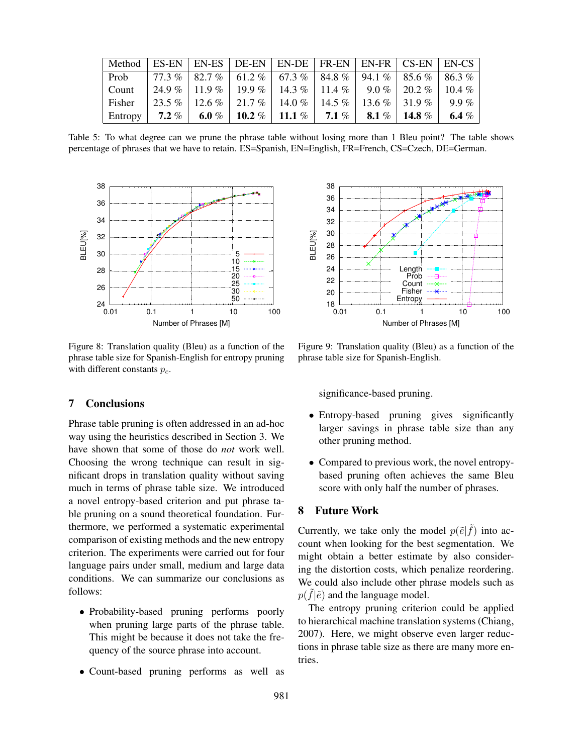| Method  |           |                   |          | $\mid$ ES-EN $\mid$ EN-ES $\mid$ DE-EN $\mid$ EN-DE $\mid$ FR-EN $\mid$ EN-FR $\mid$ CS-EN $\mid$ EN-CS |           |          |          |          |
|---------|-----------|-------------------|----------|---------------------------------------------------------------------------------------------------------|-----------|----------|----------|----------|
| Prob    |           |                   |          | 77.3 %   82.7 %   61.2 %   67.3 %   84.8 %                                                              |           | 94.1 %   | $85.6\%$ | 86.3%    |
| Count   |           | $24.9\%$   11.9 % |          | $19.9\%$   14.3 %   11.4 %                                                                              |           | 9.0 %    | $20.2\%$ | 10.4 $%$ |
| Fisher  | $23.5\%$  | $12.6\%$          | $21.7\%$ | 14.0 %                                                                                                  | 14.5 $%$  | 13.6 $%$ | $31.9\%$ | $9.9\%$  |
| Entropy | $7.2\ \%$ | 6.0 %             | 10.2 $%$ | 11.1 $\%$                                                                                               | $7.1\ \%$ | 8.1 %    | 14.8 $%$ | 6.4 $%$  |

Table 5: To what degree can we prune the phrase table without losing more than 1 Bleu point? The table shows percentage of phrases that we have to retain. ES=Spanish, EN=English, FR=French, CS=Czech, DE=German.



Figure 8: Translation quality (Bleu) as a function of the phrase table size for Spanish-English for entropy pruning with different constants  $p_c$ .

## 7 Conclusions

Phrase table pruning is often addressed in an ad-hoc way using the heuristics described in Section 3. We have shown that some of those do *not* work well. Choosing the wrong technique can result in significant drops in translation quality without saving much in terms of phrase table size. We introduced a novel entropy-based criterion and put phrase table pruning on a sound theoretical foundation. Furthermore, we performed a systematic experimental comparison of existing methods and the new entropy criterion. The experiments were carried out for four language pairs under small, medium and large data conditions. We can summarize our conclusions as follows:

- Probability-based pruning performs poorly when pruning large parts of the phrase table. This might be because it does not take the frequency of the source phrase into account.
- Count-based pruning performs as well as



Figure 9: Translation quality (Bleu) as a function of the phrase table size for Spanish-English.

significance-based pruning.

- Entropy-based pruning gives significantly larger savings in phrase table size than any other pruning method.
- Compared to previous work, the novel entropybased pruning often achieves the same Bleu score with only half the number of phrases.

#### 8 Future Work

Currently, we take only the model  $p(\tilde{e}|\tilde{f})$  into account when looking for the best segmentation. We might obtain a better estimate by also considering the distortion costs, which penalize reordering. We could also include other phrase models such as  $p(\tilde{f}|\tilde{e})$  and the language model.

The entropy pruning criterion could be applied to hierarchical machine translation systems (Chiang, 2007). Here, we might observe even larger reductions in phrase table size as there are many more entries.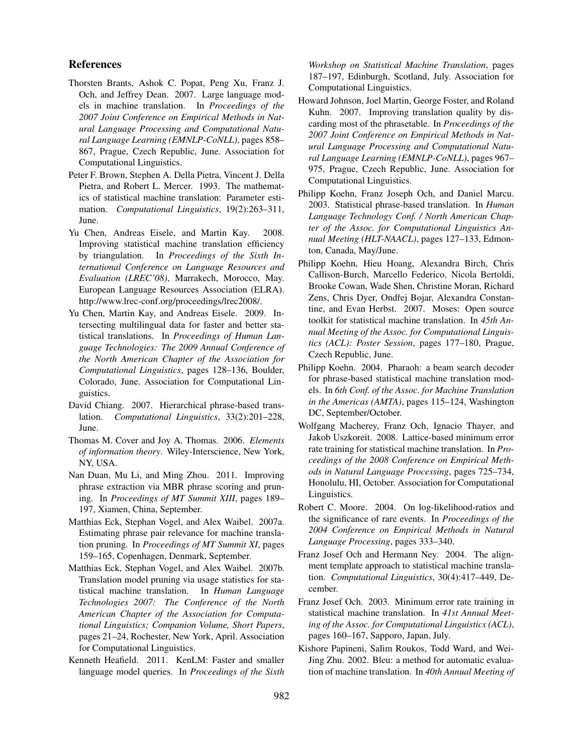## References

- Thorsten Brants, Ashok C. Popat, Peng Xu, Franz J. Och, and Jeffrey Dean. 2007. Large language models in machine translation. In *Proceedings of the 2007 Joint Conference on Empirical Methods in Natural Language Processing and Computational Natural Language Learning (EMNLP-CoNLL)*, pages 858– 867, Prague, Czech Republic, June. Association for Computational Linguistics.
- Peter F. Brown, Stephen A. Della Pietra, Vincent J. Della Pietra, and Robert L. Mercer. 1993. The mathematics of statistical machine translation: Parameter estimation. *Computational Linguistics*, 19(2):263–311, June.
- Yu Chen, Andreas Eisele, and Martin Kay. 2008. Improving statistical machine translation efficiency by triangulation. In *Proceedings of the Sixth International Conference on Language Resources and Evaluation (LREC'08)*, Marrakech, Morocco, May. European Language Resources Association (ELRA). http://www.lrec-conf.org/proceedings/lrec2008/.
- Yu Chen, Martin Kay, and Andreas Eisele. 2009. Intersecting multilingual data for faster and better statistical translations. In *Proceedings of Human Language Technologies: The 2009 Annual Conference of the North American Chapter of the Association for Computational Linguistics*, pages 128–136, Boulder, Colorado, June. Association for Computational Linguistics.
- David Chiang. 2007. Hierarchical phrase-based translation. *Computational Linguistics*, 33(2):201–228, June.
- Thomas M. Cover and Joy A. Thomas. 2006. *Elements of information theory*. Wiley-Interscience, New York, NY, USA.
- Nan Duan, Mu Li, and Ming Zhou. 2011. Improving phrase extraction via MBR phrase scoring and pruning. In *Proceedings of MT Summit XIII*, pages 189– 197, Xiamen, China, September.
- Matthias Eck, Stephan Vogel, and Alex Waibel. 2007a. Estimating phrase pair relevance for machine translation pruning. In *Proceedings of MT Summit XI*, pages 159–165, Copenhagen, Denmark, September.
- Matthias Eck, Stephan Vogel, and Alex Waibel. 2007b. Translation model pruning via usage statistics for statistical machine translation. In *Human Language Technologies 2007: The Conference of the North American Chapter of the Association for Computational Linguistics; Companion Volume, Short Papers*, pages 21–24, Rochester, New York, April. Association for Computational Linguistics.
- Kenneth Heafield. 2011. KenLM: Faster and smaller language model queries. In *Proceedings of the Sixth*

*Workshop on Statistical Machine Translation*, pages 187–197, Edinburgh, Scotland, July. Association for Computational Linguistics.

- Howard Johnson, Joel Martin, George Foster, and Roland Kuhn. 2007. Improving translation quality by discarding most of the phrasetable. In *Proceedings of the 2007 Joint Conference on Empirical Methods in Natural Language Processing and Computational Natural Language Learning (EMNLP-CoNLL)*, pages 967– 975, Prague, Czech Republic, June. Association for Computational Linguistics.
- Philipp Koehn, Franz Joseph Och, and Daniel Marcu. 2003. Statistical phrase-based translation. In *Human Language Technology Conf. / North American Chapter of the Assoc. for Computational Linguistics Annual Meeting (HLT-NAACL)*, pages 127–133, Edmonton, Canada, May/June.
- Philipp Koehn, Hieu Hoang, Alexandra Birch, Chris Callison-Burch, Marcello Federico, Nicola Bertoldi, Brooke Cowan, Wade Shen, Christine Moran, Richard Zens, Chris Dyer, Ondřej Bojar, Alexandra Constantine, and Evan Herbst. 2007. Moses: Open source toolkit for statistical machine translation. In *45th Annual Meeting of the Assoc. for Computational Linguistics (ACL): Poster Session*, pages 177–180, Prague, Czech Republic, June.
- Philipp Koehn. 2004. Pharaoh: a beam search decoder for phrase-based statistical machine translation models. In *6th Conf. of the Assoc. for Machine Translation in the Americas (AMTA)*, pages 115–124, Washington DC, September/October.
- Wolfgang Macherey, Franz Och, Ignacio Thayer, and Jakob Uszkoreit. 2008. Lattice-based minimum error rate training for statistical machine translation. In *Proceedings of the 2008 Conference on Empirical Methods in Natural Language Processing*, pages 725–734, Honolulu, HI, October. Association for Computational Linguistics.
- Robert C. Moore. 2004. On log-likelihood-ratios and the significance of rare events. In *Proceedings of the 2004 Conference on Empirical Methods in Natural Language Processing*, pages 333–340.
- Franz Josef Och and Hermann Ney. 2004. The alignment template approach to statistical machine translation. *Computational Linguistics*, 30(4):417–449, December.
- Franz Josef Och. 2003. Minimum error rate training in statistical machine translation. In *41st Annual Meeting of the Assoc. for Computational Linguistics (ACL)*, pages 160–167, Sapporo, Japan, July.
- Kishore Papineni, Salim Roukos, Todd Ward, and Wei-Jing Zhu. 2002. Bleu: a method for automatic evaluation of machine translation. In *40th Annual Meeting of*